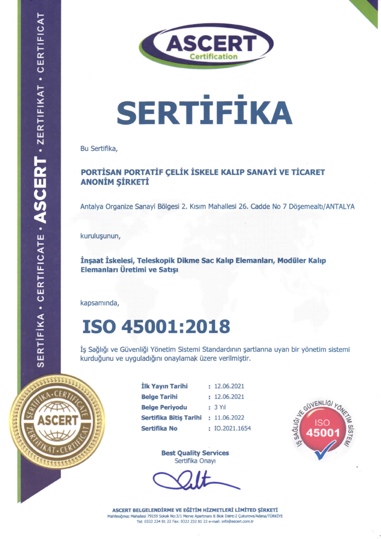

# **SERTİFİKA**

Bu Sertifika,

 $CERT - 2ERTIFIKAT - CERTIFICAI$ 

ERTIFIKA · CERTIFICATE · AS

#### PORTISAN PORTATIF CELIK ISKELE KALIP SANAYI VE TICARET **ANONİM SİRKETİ**

Antalya Organize Sanayi Bölgesi 2. Kısım Mahallesi 26. Cadde No 7 Döşemealtı/ANTALYA

kurulusunun,

İnşaat İskelesi, Teleskopik Dikme Sac Kalıp Elemanları, Modüler Kalıp Elemanları Üretimi ve Satışı

kapsamında,

### ISO 45001:2018

İş Sağlığı ve Güvenliği Yönetim Sistemi Standardının şartlarına uyan bir yönetim sistemi kurduğunu ve uyguladığını onaylamak üzere verilmiştir.



| İlk Yayın Tarihi       | : 12.06.2021   |
|------------------------|----------------|
| <b>Belge Tarihi</b>    | : 12.06.2021   |
| <b>Belge Periyodu</b>  | $: 3$ Yıl      |
| Sertifika Bitiş Tarihi | : 11.06.2022   |
| Sertifika No           | : IO.2021.1654 |



Best Quality Services Sertifika Onayi